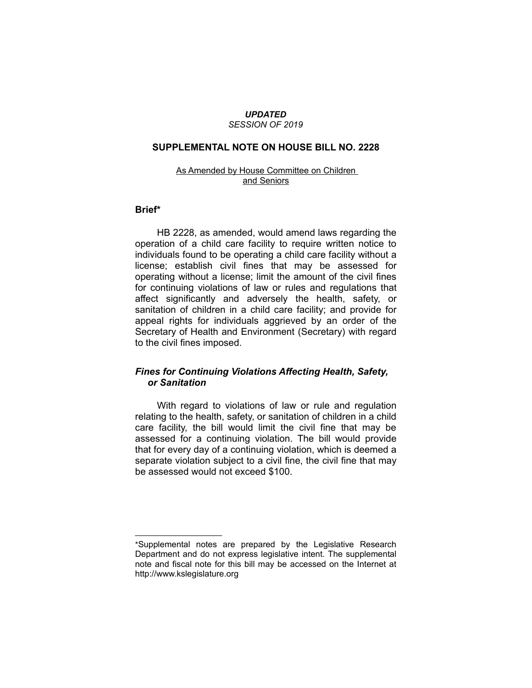#### *UPDATED SESSION OF 2019*

### **SUPPLEMENTAL NOTE ON HOUSE BILL NO. 2228**

### As Amended by House Committee on Children and Seniors

#### **Brief\***

HB 2228, as amended, would amend laws regarding the operation of a child care facility to require written notice to individuals found to be operating a child care facility without a license; establish civil fines that may be assessed for operating without a license; limit the amount of the civil fines for continuing violations of law or rules and regulations that affect significantly and adversely the health, safety, or sanitation of children in a child care facility; and provide for appeal rights for individuals aggrieved by an order of the Secretary of Health and Environment (Secretary) with regard to the civil fines imposed.

# *Fines for Continuing Violations Affecting Health, Safety, or Sanitation*

With regard to violations of law or rule and regulation relating to the health, safety, or sanitation of children in a child care facility, the bill would limit the civil fine that may be assessed for a continuing violation. The bill would provide that for every day of a continuing violation, which is deemed a separate violation subject to a civil fine, the civil fine that may be assessed would not exceed \$100.

 $\overline{\phantom{a}}$  , where  $\overline{\phantom{a}}$ 

<sup>\*</sup>Supplemental notes are prepared by the Legislative Research Department and do not express legislative intent. The supplemental note and fiscal note for this bill may be accessed on the Internet at http://www.kslegislature.org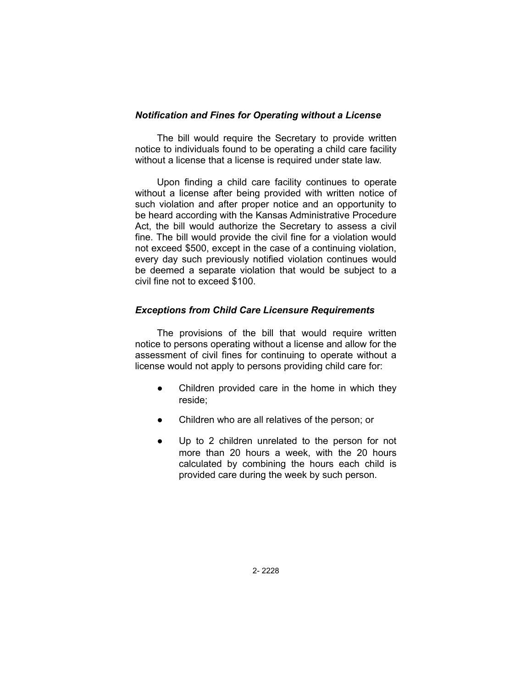### *Notification and Fines for Operating without a License*

The bill would require the Secretary to provide written notice to individuals found to be operating a child care facility without a license that a license is required under state law.

Upon finding a child care facility continues to operate without a license after being provided with written notice of such violation and after proper notice and an opportunity to be heard according with the Kansas Administrative Procedure Act, the bill would authorize the Secretary to assess a civil fine. The bill would provide the civil fine for a violation would not exceed \$500, except in the case of a continuing violation, every day such previously notified violation continues would be deemed a separate violation that would be subject to a civil fine not to exceed \$100.

# *Exceptions from Child Care Licensure Requirements*

The provisions of the bill that would require written notice to persons operating without a license and allow for the assessment of civil fines for continuing to operate without a license would not apply to persons providing child care for:

- Children provided care in the home in which they reside;
- Children who are all relatives of the person; or
- Up to 2 children unrelated to the person for not more than 20 hours a week, with the 20 hours calculated by combining the hours each child is provided care during the week by such person.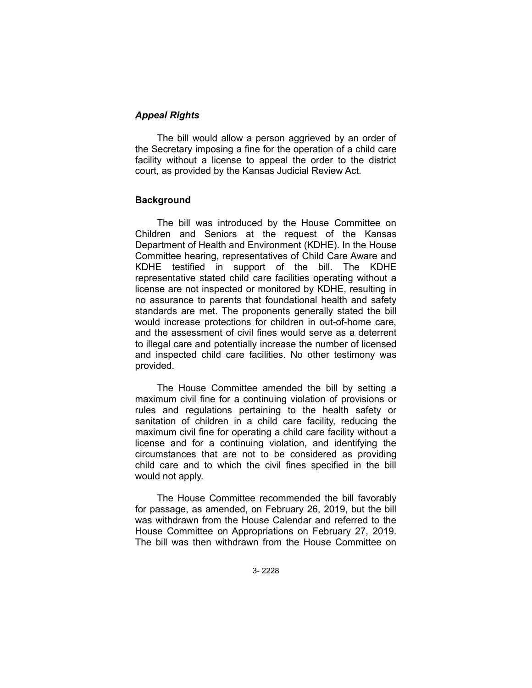# *Appeal Rights*

The bill would allow a person aggrieved by an order of the Secretary imposing a fine for the operation of a child care facility without a license to appeal the order to the district court, as provided by the Kansas Judicial Review Act.

### **Background**

The bill was introduced by the House Committee on Children and Seniors at the request of the Kansas Department of Health and Environment (KDHE). In the House Committee hearing, representatives of Child Care Aware and KDHE testified in support of the bill. The KDHE representative stated child care facilities operating without a license are not inspected or monitored by KDHE, resulting in no assurance to parents that foundational health and safety standards are met. The proponents generally stated the bill would increase protections for children in out-of-home care, and the assessment of civil fines would serve as a deterrent to illegal care and potentially increase the number of licensed and inspected child care facilities. No other testimony was provided.

The House Committee amended the bill by setting a maximum civil fine for a continuing violation of provisions or rules and regulations pertaining to the health safety or sanitation of children in a child care facility, reducing the maximum civil fine for operating a child care facility without a license and for a continuing violation, and identifying the circumstances that are not to be considered as providing child care and to which the civil fines specified in the bill would not apply.

The House Committee recommended the bill favorably for passage, as amended, on February 26, 2019, but the bill was withdrawn from the House Calendar and referred to the House Committee on Appropriations on February 27, 2019. The bill was then withdrawn from the House Committee on